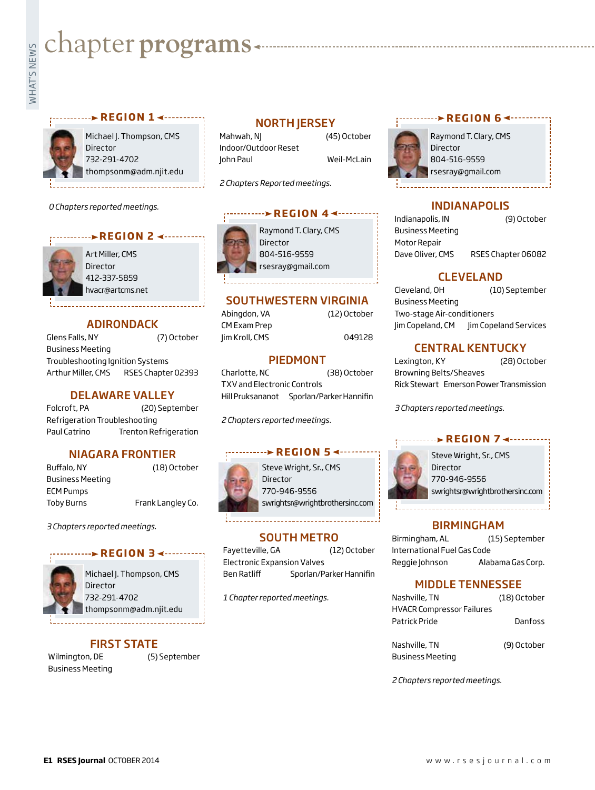# **Example programs**<br>Example:<br>Fig. 1

### **REGION 1 ← ·········**

Michael J. Thompson, CMS Director 732-291-4702 thompsonm@adm.njit.edu

*0 Chapters reported meetings.*

### **REGION 2 <--------**

Art Miller, CMS Director 412-337-5859 hvacr@artcms.net

### ADIRONDACK

Glens Falls, NY (7) October Business Meeting Troubleshooting Ignition Systems Arthur Miller, CMS RSES Chapter 02393

### DELAWARE VALLEY

Folcroft, PA (20) September Refrigeration Troubleshooting Paul Catrino Trenton Refrigeration

### NIAGARA FRONTIER

Buffalo, NY (18) October Business Meeting ECM Pumps Toby Burns Frank Langley Co.

*3 Chapters reported meetings.*

### **REGION 3**



Michael J. Thompson, CMS **Director** 732-291-4702 thompsonm@adm.njit.edu

### FIRST STATE

Wilmington, DE (5) September Business Meeting

### NORTH JERSEY

Mahwah, NJ (45) October Indoor/Outdoor Reset John Paul Weil-McLain

*2 Chapters Reported meetings.*

### **REGION 4 ◀-----**

Director 804-516-9559 rsesray@gmail.com

### SOUTHWESTERN VIRGINIA

CM Exam Prep Jim Kroll, CMS 049128

### PIEDMONT

Charlotte, NC (38) October TXV and Electronic Controls Hill Pruksananot Sporlan/Parker Hannifin

*2 Chapters reported meetings.*

### **WALK REGION 5 <------**

Steve Wright, Sr., CMS Director 770-946-9556 swrightsr@wrightbrothersinc.com

Fayetteville, GA (12) October Electronic Expansion Valves Ben Ratliff Sporlan/Parker Hannifin

*1 Chapter reported meetings.*

### **REGION 6**



Raymond T. Clary, CMS Director 804-516-9559 rsesray@gmail.com

### INDIANAPOLIS

Indianapolis, IN (9) October Business Meeting Motor Repair Dave Oliver, CMS RSES Chapter 06082

### CLEVELAND

Cleveland, OH (10) September Business Meeting Two-stage Air-conditioners Jim Copeland, CM Jim Copeland Services

### CENTRAL KENTUCKY

Lexington, KY (28) October Browning Belts/Sheaves Rick Stewart Emerson Power Transmission

*3 Chapters reported meetings.*

### **REGION 7 <-------**



Steve Wright, Sr., CMS Director 770-946-9556 swrightsr@wrightbrothersinc.com

### BIRMINGHAM

Birmingham, AL (15) September International Fuel Gas Code Reggie Johnson Alabama Gas Corp.

### MIDDLE TENNESSEE

| Nashville, TN                    | (18) October   |
|----------------------------------|----------------|
| <b>HVACR Compressor Failures</b> |                |
| Patrick Pride                    | <b>Danfoss</b> |
|                                  |                |
| Nashville, TN                    | (9) October    |

Business Meeting

*2 Chapters reported meetings.*



Raymond T. Clary, CMS

Abingdon, VA (12) October

SOUTH METRO